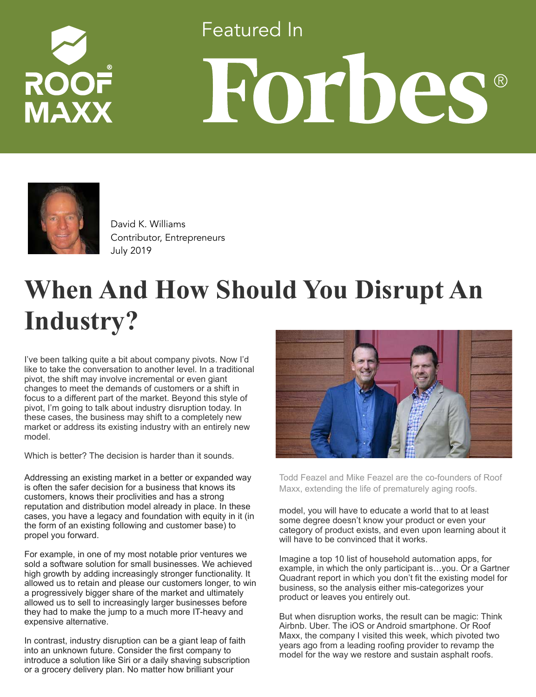

## Featured In

## Porbes



David K. Williams Contributor, Entrepreneurs July 2019

## **When And How Should You Disrupt An Industry?**

I've been talking quite a bit about company pivots. Now I'd like to take the conversation to another level. In a traditional pivot, the shift may involve incremental or even giant changes to meet the demands of customers or a shift in focus to a different part of the market. Beyond this style of pivot, I'm going to talk about industry disruption today. In these cases, the business may shift to a completely new market or address its existing industry with an entirely new model.

Which is better? The decision is harder than it sounds.

Addressing an existing market in a better or expanded way is often the safer decision for a business that knows its customers, knows their proclivities and has a strong reputation and distribution model already in place. In these cases, you have a legacy and foundation with equity in it (in the form of an existing following and customer base) to propel you forward.

For example, in one of my most notable prior ventures we sold a software solution for small businesses. We achieved high growth by adding increasingly stronger functionality. It allowed us to retain and please our customers longer, to win a progressively bigger share of the market and ultimately allowed us to sell to increasingly larger businesses before they had to make the jump to a much more IT-heavy and expensive alternative.

In contrast, industry disruption can be a giant leap of faith into an unknown future. Consider the first company to introduce a solution like Siri or a daily shaving subscription or a grocery delivery plan. No matter how brilliant your



Todd Feazel and Mike Feazel are the co-founders of Roof Maxx, extending the life of prematurely aging roofs.

model, you will have to educate a world that to at least some degree doesn't know your product or even your category of product exists, and even upon learning about it will have to be convinced that it works.

Imagine a top 10 list of household automation apps, for example, in which the only participant is…you. Or a Gartner Quadrant report in which you don't fit the existing model for business, so the analysis either mis-categorizes your product or leaves you entirely out.

But when disruption works, the result can be magic: Think Airbnb. Uber. The iOS or Android smartphone. Or Roof Maxx, the company I visited this week, which pivoted two years ago from a leading roofing provider to revamp the model for the way we restore and sustain asphalt roofs.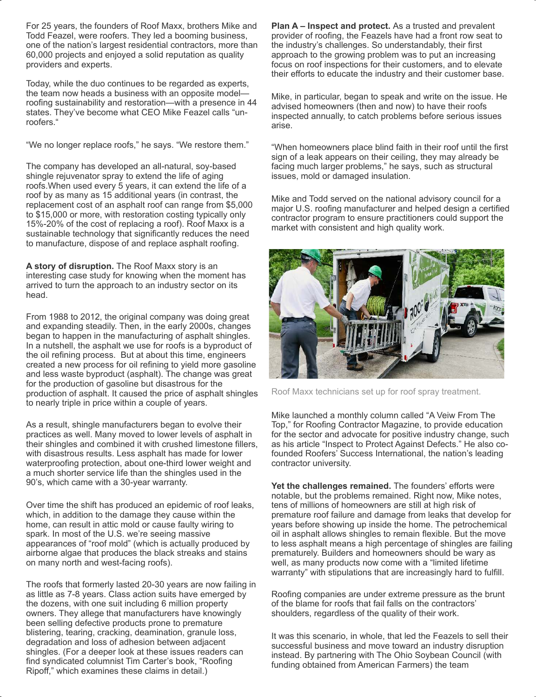For 25 years, the founders of Roof Maxx, brothers Mike and Todd Feazel, were roofers. They led a booming business, one of the nation's largest residential contractors, more than 60,000 projects and enjoyed a solid reputation as quality providers and experts.

Today, while the duo continues to be regarded as experts, the team now heads a business with an opposite model roofing sustainability and restoration—with a presence in 44 states. They've become what CEO Mike Feazel calls "unroofers."

"We no longer replace roofs," he says. "We restore them."

The company has developed an all-natural, soy-based shingle rejuvenator spray to extend the life of aging roofs.When used every 5 years, it can extend the life of a roof by as many as 15 additional years (in contrast, the replacement cost of an asphalt roof can range from \$5,000 to \$15,000 or more, with restoration costing typically only 15%-20% of the cost of replacing a roof). Roof Maxx is a sustainable technology that significantly reduces the need to manufacture, dispose of and replace asphalt roofing.

**A story of disruption.** The Roof Maxx story is an interesting case study for knowing when the moment has arrived to turn the approach to an industry sector on its head.

From 1988 to 2012, the original company was doing great and expanding steadily. Then, in the early 2000s, changes began to happen in the manufacturing of asphalt shingles. In a nutshell, the asphalt we use for roofs is a byproduct of the oil refining process. But at about this time, engineers created a new process for oil refining to yield more gasoline and less waste byproduct (asphalt). The change was great for the production of gasoline but disastrous for the production of asphalt. It caused the price of asphalt shingles to nearly triple in price within a couple of years.

As a result, shingle manufacturers began to evolve their practices as well. Many moved to lower levels of asphalt in their shingles and combined it with crushed limestone fillers, with disastrous results. Less asphalt has made for lower waterproofing protection, about one-third lower weight and a much shorter service life than the shingles used in the 90's, which came with a 30-year warranty.

Over time the shift has produced an epidemic of roof leaks, which, in addition to the damage they cause within the home, can result in attic mold or cause faulty wiring to spark. In most of the U.S. we're seeing massive appearances of "roof mold" (which is actually produced by airborne algae that produces the black streaks and stains on many north and west-facing roofs).

The roofs that formerly lasted 20-30 years are now failing in as little as 7-8 years. Class action suits have emerged by the dozens, with one suit including 6 million property owners. They allege that manufacturers have knowingly been selling defective products prone to premature blistering, tearing, cracking, deamination, granule loss, degradation and loss of adhesion between adjacent shingles. (For a deeper look at these issues readers can find syndicated columnist Tim Carter's book, "Roofing Ripoff," which examines these claims in detail.)

**Plan A – Inspect and protect.** As a trusted and prevalent provider of roofing, the Feazels have had a front row seat to the industry's challenges. So understandably, their first approach to the growing problem was to put an increasing focus on roof inspections for their customers, and to elevate their efforts to educate the industry and their customer base.

Mike, in particular, began to speak and write on the issue. He advised homeowners (then and now) to have their roofs inspected annually, to catch problems before serious issues arise.

"When homeowners place blind faith in their roof until the first sign of a leak appears on their ceiling, they may already be facing much larger problems," he says, such as structural issues, mold or damaged insulation.

Mike and Todd served on the national advisory council for a major U.S. roofing manufacturer and helped design a certified contractor program to ensure practitioners could support the market with consistent and high quality work.



Roof Maxx technicians set up for roof spray treatment.

Mike launched a monthly column called "A Veiw From The Top," for Roofing Contractor Magazine, to provide education for the sector and advocate for positive industry change, such as his article "Inspect to Protect Against Defects." He also cofounded Roofers' Success International, the nation's leading contractor university.

Yet the challenges remained. The founders' efforts were notable, but the problems remained. Right now, Mike notes, tens of millions of homeowners are still at high risk of premature roof failure and damage from leaks that develop for years before showing up inside the home. The petrochemical oil in asphalt allows shingles to remain flexible. But the move to less asphalt means a high percentage of shingles are failing prematurely. Builders and homeowners should be wary as well, as many products now come with a "limited lifetime warranty" with stipulations that are increasingly hard to fulfill.

Roofing companies are under extreme pressure as the brunt of the blame for roofs that fail falls on the contractors' shoulders, regardless of the quality of their work.

It was this scenario, in whole, that led the Feazels to sell their successful business and move toward an industry disruption instead. By partnering with The Ohio Soybean Council (with funding obtained from American Farmers) the team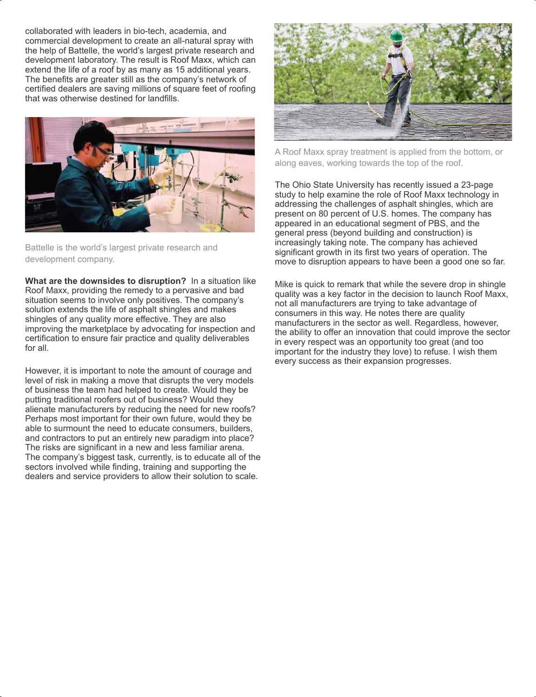collaborated with leaders in bio-tech, academia, and commercial development to create an all-natural spray with the help of Battelle, the world's largest private research and development laboratory. The result is Roof Maxx, which can extend the life of a roof by as many as 15 additional years. The benefits are greater still as the company's network of certified dealers are saving millions of square feet of roofing that was otherwise destined for landfills.



Battelle is the world's largest private research and development company.

**What are the downsides to disruption?** In a situation like Roof Maxx, providing the remedy to a pervasive and bad situation seems to involve only positives. The company's solution extends the life of asphalt shingles and makes shingles of any quality more effective. They are also improving the marketplace by advocating for inspection and certification to ensure fair practice and quality deliverables for all.

However, it is important to note the amount of courage and level of risk in making a move that disrupts the very models of business the team had helped to create. Would they be putting traditional roofers out of business? Would they alienate manufacturers by reducing the need for new roofs? Perhaps most important for their own future, would they be able to surmount the need to educate consumers, builders, and contractors to put an entirely new paradigm into place? The risks are significant in a new and less familiar arena. The company's biggest task, currently, is to educate all of the sectors involved while finding, training and supporting the dealers and service providers to allow their solution to scale.

![](_page_2_Picture_5.jpeg)

A Roof Maxx spray treatment is applied from the bottom, or along eaves, working towards the top of the roof.

The Ohio State University has recently issued a 23-page study to help examine the role of Roof Maxx technology in addressing the challenges of asphalt shingles, which are present on 80 percent of U.S. homes. The company has appeared in an educational segment of PBS, and the general press (beyond building and construction) is increasingly taking note. The company has achieved significant growth in its first two years of operation. The move to disruption appears to have been a good one so far.

Mike is quick to remark that while the severe drop in shingle quality was a key factor in the decision to launch Roof Maxx, not all manufacturers are trying to take advantage of consumers in this way. He notes there are quality manufacturers in the sector as well. Regardless, however, the ability to offer an innovation that could improve the sector in every respect was an opportunity too great (and too important for the industry they love) to refuse. I wish them every success as their expansion progresses.